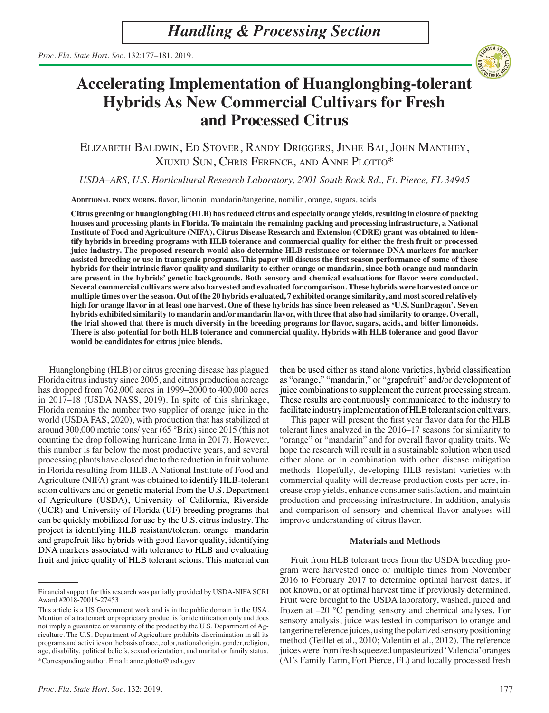

# **Accelerating Implementation of Huanglongbing-tolerant Hybrids As New Commercial Cultivars for Fresh and Processed Citrus**

Elizabeth Baldwin, Ed Stover, Randy Driggers, Jinhe Bai, John Manthey, Xiuxiu Sun, Chris Ference, and Anne Plotto\*

*USDA–ARS, U.S. Horticultural Research Laboratory, 2001 South Rock Rd., Ft. Pierce, FL 34945*

**Additional index words.** flavor, limonin, mandarin/tangerine, nomilin, orange, sugars, acids

**Citrus greening or huanglongbing (HLB) has reduced citrus and especially orange yields, resulting in closure of packing houses and processing plants in Florida. To maintain the remaining packing and processing infrastructure, a National Institute of Food and Agriculture (NIFA), Citrus Disease Research and Extension (CDRE) grant was obtained to identify hybrids in breeding programs with HLB tolerance and commercial quality for either the fresh fruit or processed juice industry. The proposed research would also determine HLB resistance or tolerance DNA markers for marker assisted breeding or use in transgenic programs. This paper will discuss the first season performance of some of these hybrids for their intrinsic flavor quality and similarity to either orange or mandarin, since both orange and mandarin are present in the hybrids' genetic backgrounds. Both sensory and chemical evaluations for flavor were conducted. Several commercial cultivars were also harvested and evaluated for comparison. These hybrids were harvested once or multiple times over the season. Out of the 20 hybrids evaluated, 7 exhibited orange similarity, and most scored relatively high for orange flavor in at least one harvest. One of these hybrids has since been released as 'U.S. SunDragon'. Seven hybrids exhibited similarity to mandarin and/or mandarin flavor, with three that also had similarity to orange. Overall, the trial showed that there is much diversity in the breeding programs for flavor, sugars, acids, and bitter limonoids. There is also potential for both HLB tolerance and commercial quality. Hybrids with HLB tolerance and good flavor would be candidates for citrus juice blends.**

Huanglongbing (HLB) or citrus greening disease has plagued Florida citrus industry since 2005, and citrus production acreage has dropped from 762,000 acres in 1999–2000 to 400,000 acres in 2017–18 (USDA NASS, 2019). In spite of this shrinkage, Florida remains the number two supplier of orange juice in the world (USDA FAS, 2020), with production that has stabilized at around 300,000 metric tons/ year (65 °Brix) since 2015 (this not counting the drop following hurricane Irma in 2017). However, this number is far below the most productive years, and several processing plants have closed due to the reduction in fruit volume in Florida resulting from HLB. A National Institute of Food and Agriculture (NIFA) grant was obtained to identify HLB-tolerant scion cultivars and or genetic material from the U.S. Department of Agriculture (USDA), University of California, Riverside (UCR) and University of Florida (UF) breeding programs that can be quickly mobilized for use by the U.S. citrus industry. The project is identifying HLB resistant/tolerant orange mandarin and grapefruit like hybrids with good flavor quality, identifying DNA markers associated with tolerance to HLB and evaluating fruit and juice quality of HLB tolerant scions. This material can then be used either as stand alone varieties, hybrid classification as "orange," "mandarin," or "grapefruit" and/or development of juice combinations to supplement the current processing stream. These results are continuously communicated to the industry to facilitate industry implementation of HLB tolerant scion cultivars.

This paper will present the first year flavor data for the HLB tolerant lines analyzed in the 2016–17 seasons for similarity to "orange" or "mandarin" and for overall flavor quality traits. We hope the research will result in a sustainable solution when used either alone or in combination with other disease mitigation methods. Hopefully, developing HLB resistant varieties with commercial quality will decrease production costs per acre, increase crop yields, enhance consumer satisfaction, and maintain production and processing infrastructure. In addition, analysis and comparison of sensory and chemical flavor analyses will improve understanding of citrus flavor.

### **Materials and Methods**

Fruit from HLB tolerant trees from the USDA breeding program were harvested once or multiple times from November 2016 to February 2017 to determine optimal harvest dates, if not known, or at optimal harvest time if previously determined. Fruit were brought to the USDA laboratory, washed, juiced and frozen at –20 °C pending sensory and chemical analyses. For sensory analysis, juice was tested in comparison to orange and tangerine reference juices, using the polarized sensory positioning method (Teillet et al., 2010; Valentin et al., 2012). The reference juices were from fresh squeezed unpasteurized 'Valencia' oranges (Al's Family Farm, Fort Pierce, FL) and locally processed fresh

Financial support for this research was partially provided by USDA-NIFA SCRI Award #2018-70016-27453

This article is a US Government work and is in the public domain in the USA. Mention of a trademark or proprietary product is for identification only and does not imply a guarantee or warranty of the product by the U.S. Department of Agriculture. The U.S. Department of Agriculture prohibits discrimination in all its programs and activities on the basis of race, color, national origin, gender, religion, age, disability, political beliefs, sexual orientation, and marital or family status. \*Corresponding author. Email: anne.plotto@usda.gov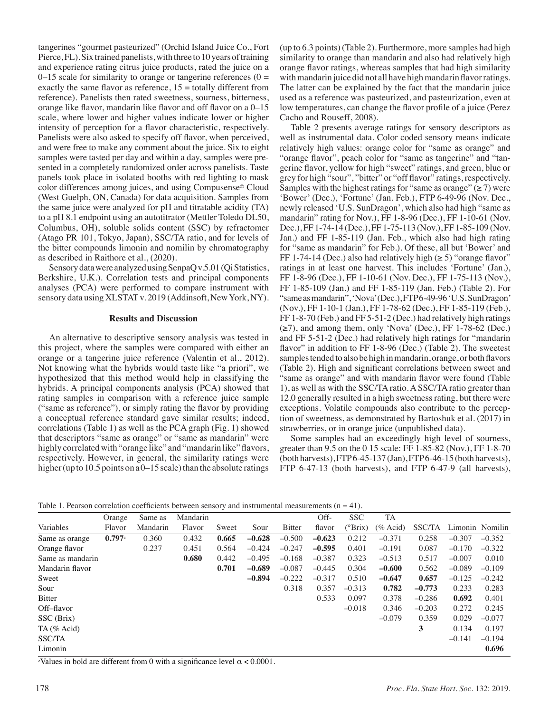tangerines "gourmet pasteurized" (Orchid Island Juice Co., Fort Pierce, FL). Six trained panelists, with three to 10 years of training and experience rating citrus juice products, rated the juice on a  $0-15$  scale for similarity to orange or tangerine references ( $0 =$ exactly the same flavor as reference,  $15 =$  totally different from reference). Panelists then rated sweetness, sourness, bitterness, orange like flavor, mandarin like flavor and off flavor on a 0–15 scale, where lower and higher values indicate lower or higher intensity of perception for a flavor characteristic, respectively. Panelists were also asked to specify off flavor, when perceived, and were free to make any comment about the juice. Six to eight samples were tasted per day and within a day, samples were presented in a completely randomized order across panelists. Taste panels took place in isolated booths with red lighting to mask color differences among juices, and using Compusense© Cloud (West Guelph, ON, Canada) for data acquisition. Samples from the same juice were analyzed for pH and titratable acidity (TA) to a pH 8.1 endpoint using an autotitrator (Mettler Toledo DL50, Columbus, OH), soluble solids content (SSC) by refractomer (Atago PR 101, Tokyo, Japan), SSC/TA ratio, and for levels of the bitter compounds limonin and nomilin by chromatography as described in Raithore et al., (2020).

Sensory data were analyzed using SenpaQ v.5.01 (Qi Statistics, Berkshire, U.K.). Correlation tests and principal components analyses (PCA) were performed to compare instrument with sensory data using XLSTAT v. 2019 (Addinsoft, New York, NY).

### **Results and Discussion**

An alternative to descriptive sensory analysis was tested in this project, where the samples were compared with either an orange or a tangerine juice reference (Valentin et al., 2012). Not knowing what the hybrids would taste like "a priori", we hypothesized that this method would help in classifying the hybrids. A principal components analysis (PCA) showed that rating samples in comparison with a reference juice sample ("same as reference"), or simply rating the flavor by providing a conceptual reference standard gave similar results; indeed, correlations (Table 1) as well as the PCA graph (Fig. 1) showed that descriptors "same as orange" or "same as mandarin" were highly correlated with "orange like" and "mandarin like" flavors, respectively. However, in general, the similarity ratings were higher (up to 10.5 points on a 0–15 scale) than the absolute ratings

(up to 6.3 points) (Table 2). Furthermore, more samples had high similarity to orange than mandarin and also had relatively high orange flavor ratings, whereas samples that had high similarity with mandarin juice did not all have high mandarin flavor ratings. The latter can be explained by the fact that the mandarin juice used as a reference was pasteurized, and pasteurization, even at low temperatures, can change the flavor profile of a juice (Perez Cacho and Rouseff, 2008).

Table 2 presents average ratings for sensory descriptors as well as instrumental data. Color coded sensory means indicate relatively high values: orange color for "same as orange" and "orange flavor", peach color for "same as tangerine" and "tangerine flavor, yellow for high "sweet" ratings, and green, blue or grey for high "sour", "bitter" or "off flavor" ratings, respectively. Samples with the highest ratings for "same as orange"  $(\geq 7)$  were 'Bower' (Dec.), 'Fortune' (Jan. Feb.), FTP 6-49-96 (Nov. Dec., newly released 'U.S. SunDragon', which also had high "same as mandarin" rating for Nov.), FF 1-8-96 (Dec.), FF 1-10-61 (Nov. Dec.), FF 1-74-14 (Dec.), FF 1-75-113 (Nov.), FF 1-85-109 (Nov. Jan.) and FF 1-85-119 (Jan. Feb., which also had high rating for "same as mandarin" for Feb.). Of these, all but 'Bower' and FF 1-74-14 (Dec.) also had relatively high  $(\geq 5)$  "orange flavor" ratings in at least one harvest. This includes 'Fortune' (Jan.), FF 1-8-96 (Dec.), FF 1-10-61 (Nov. Dec.), FF 1-75-113 (Nov.), FF 1-85-109 (Jan.) and FF 1-85-119 (Jan. Feb.) (Table 2). For "same as mandarin", 'Nova' (Dec.), FTP 6-49-96 'U.S. SunDragon' (Nov.), FF 1-10-1 (Jan.), FF 1-78-62 (Dec.), FF 1-85-119 (Feb.), FF 1-8-70 (Feb.) and FF 5-51-2 (Dec.) had relatively high ratings  $(\geq 7)$ , and among them, only 'Nova' (Dec.), FF 1-78-62 (Dec.) and FF 5-51-2 (Dec.) had relatively high ratings for "mandarin flavor" in addition to FF 1-8-96 (Dec.) (Table 2). The sweetest samples tended to also be high in mandarin, orange, or both flavors (Table 2). High and significant correlations between sweet and "same as orange" and with mandarin flavor were found (Table 1), as well as with the SSC/TA ratio. A SSC/TA ratio greater than 12.0 generally resulted in a high sweetness rating, but there were exceptions. Volatile compounds also contribute to the perception of sweetness, as demonstrated by Bartoshuk et al. (2017) in strawberries, or in orange juice (unpublished data).

Some samples had an exceedingly high level of sourness, greater than 9.5 on the 0 15 scale: FF 1-85-82 (Nov.), FF 1-8-70 (both harvests), FTP 6-45-137 (Jan), FTP 6-46-15 (both harvests), FTP 6-47-13 (both harvests), and FTP 6-47-9 (all harvests),

Table 1. Pearson correlation coefficients between sensory and instrumental measurements  $(n = 41)$ .

|                  | Orange               | Same as  | Mandarin |       |          |               | Off-     | <b>SSC</b>       | TA          |          |          |                 |
|------------------|----------------------|----------|----------|-------|----------|---------------|----------|------------------|-------------|----------|----------|-----------------|
| Variables        | Flavor               | Mandarin | Flavor   | Sweet | Sour     | <b>Bitter</b> | flavor   | $(^{\circ}Brix)$ | $(\%$ Acid) | SSC/TA   |          | Limonin Nomilin |
| Same as orange   | $0.797$ <sup>z</sup> | 0.360    | 0.432    | 0.665 | $-0.628$ | $-0.500$      | $-0.623$ | 0.212            | $-0.371$    | 0.258    | $-0.307$ | $-0.352$        |
| Orange flavor    |                      | 0.237    | 0.451    | 0.564 | $-0.424$ | $-0.247$      | $-0.595$ | 0.401            | $-0.191$    | 0.087    | $-0.170$ | $-0.322$        |
| Same as mandarin |                      |          | 0.680    | 0.442 | $-0.495$ | $-0.168$      | $-0.387$ | 0.323            | $-0.513$    | 0.517    | $-0.007$ | 0.010           |
| Mandarin flavor  |                      |          |          | 0.701 | $-0.689$ | $-0.087$      | $-0.445$ | 0.304            | $-0.600$    | 0.562    | $-0.089$ | $-0.109$        |
| Sweet            |                      |          |          |       | $-0.894$ | $-0.222$      | $-0.317$ | 0.510            | $-0.647$    | 0.657    | $-0.125$ | $-0.242$        |
| Sour             |                      |          |          |       |          | 0.318         | 0.357    | $-0.313$         | 0.782       | $-0.773$ | 0.233    | 0.283           |
| Bitter           |                      |          |          |       |          |               | 0.533    | 0.097            | 0.378       | $-0.286$ | 0.692    | 0.401           |
| Off-flavor       |                      |          |          |       |          |               |          | $-0.018$         | 0.346       | $-0.203$ | 0.272    | 0.245           |
| SSC (Brix)       |                      |          |          |       |          |               |          |                  | $-0.079$    | 0.359    | 0.029    | $-0.077$        |
| TA (% Acid)      |                      |          |          |       |          |               |          |                  |             | 3        | 0.134    | 0.197           |
| SSC/TA           |                      |          |          |       |          |               |          |                  |             |          | $-0.141$ | $-0.194$        |
| Limonin          |                      |          |          |       |          |               |          |                  |             |          |          | 0.696           |
|                  |                      |          |          |       |          |               |          |                  |             |          |          |                 |

<sup>z</sup>Values in bold are different from 0 with a significance level  $\alpha$  < 0.0001.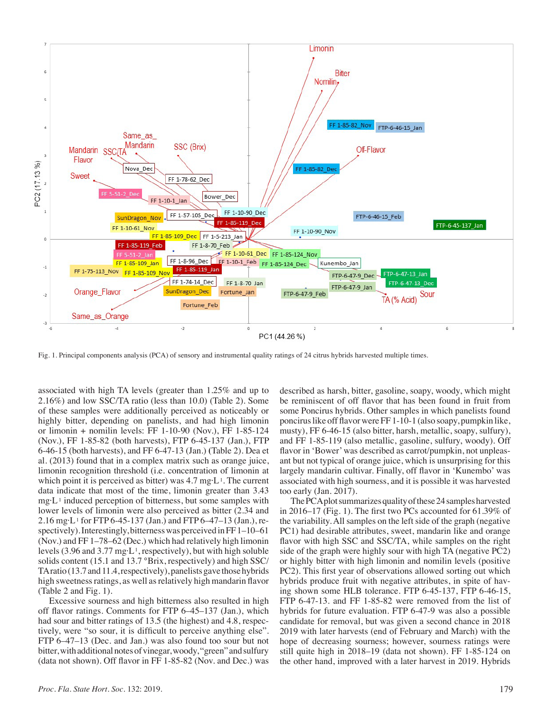

Fig. 1. Principal components analysis (PCA) of sensory and instrumental quality ratings of 24 citrus hybrids harvested multiple times.

associated with high TA levels (greater than 1.25% and up to 2.16%) and low SSC/TA ratio (less than 10.0) (Table 2). Some of these samples were additionally perceived as noticeably or highly bitter, depending on panelists, and had high limonin or limonin + nomilin levels: FF 1-10-90 (Nov.), FF 1-85-124 (Nov.), FF 1-85-82 (both harvests), FTP 6-45-137 (Jan.), FTP 6-46-15 (both harvests), and FF 6-47-13 (Jan.) **(**Table 2). Dea et al. (2013) found that in a complex matrix such as orange juice, limonin recognition threshold (i.e. concentration of limonin at which point it is perceived as bitter) was  $4.7 \text{ mg} \cdot L^1$ . The current data indicate that most of the time, limonin greater than 3.43  $mg L<sup>1</sup>$  induced perception of bitterness, but some samples with lower levels of limonin were also perceived as bitter (2.34 and 2.16 mg·L 1 for FTP 6-45-137 (Jan.) and FTP 6–47–13 (Jan.), respectively). Interestingly, bitterness was perceived in FF1–10–61 (Nov.) and FF 1–78–62 (Dec.) which had relatively high limonin levels (3.96 and 3.77 mg·L<sup>1</sup>, respectively), but with high soluble solids content (15.1 and 13.7 °Brix, respectively) and high SSC/ TA ratio (13.7 and 11.4, respectively), panelists gave those hybrids high sweetness ratings, as well as relatively high mandarin flavor (Table 2 and Fig. 1).

Excessive sourness and high bitterness also resulted in high off flavor ratings. Comments for FTP 6–45–137 (Jan.), which had sour and bitter ratings of 13.5 (the highest) and 4.8, respectively, were "so sour, it is difficult to perceive anything else". FTP 6–47–13 (Dec. and Jan.) was also found too sour but not bitter, with additional notes of vinegar, woody, "green" and sulfury (data not shown). Off flavor in FF 1-85-82 (Nov. and Dec.) was

described as harsh, bitter, gasoline, soapy, woody, which might be reminiscent of off flavor that has been found in fruit from some Poncirus hybrids. Other samples in which panelists found poncirus like off flavor were FF 1-10-1 (also soapy, pumpkin like, musty), FF 6-46-15 (also bitter, harsh, metallic, soapy, sulfury), and FF 1-85-119 (also metallic, gasoline, sulfury, woody). Off flavor in 'Bower' was described as carrot/pumpkin, not unpleasant but not typical of orange juice, which is unsurprising for this largely mandarin cultivar. Finally, off flavor in 'Kunembo' was associated with high sourness, and it is possible it was harvested too early (Jan. 2017).

The PCA plot summarizes quality of these 24 samples harvested in 2016–17 (Fig. 1). The first two PCs accounted for 61.39% of the variability. All samples on the left side of the graph (negative PC1) had desirable attributes, sweet, mandarin like and orange flavor with high SSC and SSC/TA, while samples on the right side of the graph were highly sour with high TA (negative PC2) or highly bitter with high limonin and nomilin levels (positive PC2). This first year of observations allowed sorting out which hybrids produce fruit with negative attributes, in spite of having shown some HLB tolerance. FTP 6-45-137, FTP 6-46-15, FTP 6-47-13. and FF 1-85-82 were removed from the list of hybrids for future evaluation. FTP 6-47-9 was also a possible candidate for removal, but was given a second chance in 2018 2019 with later harvests (end of February and March) with the hope of decreasing sourness; however, sourness ratings were still quite high in 2018–19 (data not shown). FF 1-85-124 on the other hand, improved with a later harvest in 2019. Hybrids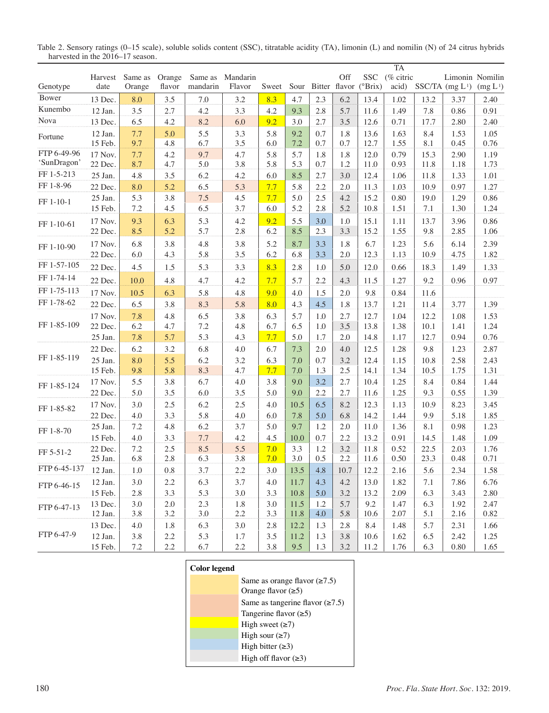|                      |                    |            |            |            |            |            |              |            |            |                            | <b>TA</b>    |            |                             |                      |
|----------------------|--------------------|------------|------------|------------|------------|------------|--------------|------------|------------|----------------------------|--------------|------------|-----------------------------|----------------------|
|                      | Harvest            | Same as    | Orange     | Same as    | Mandarin   |            |              |            | Off        | <b>SSC</b>                 | (% citric    |            |                             | Limonin Nomilin      |
| Genotype             | date               | Orange     | flavor     | mandarin   | Flavor     | Sweet      |              |            |            | Sour Bitter flavor (°Brix) | acid)        |            | SSC/TA (mg L <sup>1</sup> ) | (mg L <sup>1</sup> ) |
| Bower                | 13 Dec.            | 8.0        | 3.5        | $7.0\,$    | 3.2        | 8.3        | 4.7          | 2.3        | 6.2        | 13.4                       | 1.02         | 13.2       | 3.37                        | 2.40                 |
| Kunembo              | 12 Jan.            | 3.5        | 2.7        | 4.2        | 3.3        | 4.2        | 9.3          | 2.8        | 5.7        | 11.6                       | 1.49         | 7.8        | 0.86                        | 0.91                 |
| Nova                 | 13 Dec.            | 6.5        | 4.2        | 8.2        | 6.0        | 9.2        | 3.0          | 2.7        | 3.5        | 12.6                       | 0.71         | 17.7       | 2.80                        | 2.40                 |
| Fortune              | 12 Jan.<br>15 Feb. | 7.7<br>9.7 | 5.0<br>4.8 | 5.5<br>6.7 | 3.3<br>3.5 | 5.8<br>6.0 | 9.2<br>7.2   | 0.7<br>0.7 | 1.8<br>0.7 | 13.6<br>12.7               | 1.63<br>1.55 | 8.4<br>8.1 | 1.53<br>0.45                | 1.05<br>0.76         |
| FTP 6-49-96          | 17 Nov.            | 7.7        | 4.2        | 9.7        | 4.7        | 5.8        | 5.7          | 1.8        | 1.8        | 12.0                       | 0.79         | 15.3       | 2.90                        | 1.19                 |
| 'SunDragon'          | 22 Dec.            | 8.7        | 4.7        | 5.0        | 3.8        | 5.8        | 5.3          | 0.7        | 1.2        | 11.0                       | 0.93         | 11.8       | 1.18                        | 1.73                 |
| FF 1-5-213           | 25 Jan.            | 4.8        | 3.5        | 6.2        | 4.2        | 6.0        | 8.5          | 2.7        | 3.0        | 12.4                       | 1.06         | 11.8       | 1.33                        | 1.01                 |
| FF 1-8-96            | 22 Dec.            | 8.0        | 5.2        | 6.5        | 5.3        | 7.7        | 5.8          | 2.2        | 2.0        | 11.3                       | 1.03         | 10.9       | 0.97                        | 1.27                 |
| FF 1-10-1            | 25 Jan.            | 5.3        | 3.8        | $7.5\,$    | 4.5        | 7.7        | 5.0          | 2.5        | 4.2        | 15.2                       | 0.80         | 19.0       | 1.29                        | 0.86                 |
|                      | 15 Feb.            | 7.2        | 4.5        | 6.5        | 3.7        | 6.0        | 5.2          | 2.8        | 5.2        | 10.8                       | 1.51         | $7.1\,$    | 1.30                        | 1.24                 |
| FF 1-10-61           | 17 Nov.            | 9.3        | 6.3        | 5.3        | 4.2        | 9.2        | 5.5          | 3.0        | 1.0        | 15.1                       | 1.11         | 13.7       | 3.96                        | 0.86                 |
|                      | 22 Dec.            | 8.5        | 5.2        | 5.7        | 2.8        | 6.2        | 8.5          | 2.3        | 3.3        | 15.2                       | 1.55         | 9.8        | 2.85                        | 1.06                 |
| FF 1-10-90           | 17 Nov.            | 6.8        | 3.8        | 4.8        | 3.8        | 5.2        | 8.7          | 3.3        | 1.8        | 6.7                        | 1.23         | 5.6        | 6.14                        | 2.39                 |
|                      | 22 Dec.            | 6.0        | 4.3        | 5.8        | 3.5        | 6.2        | 6.8          | 3.3        | 2.0        | 12.3                       | 1.13         | 10.9       | 4.75                        | 1.82                 |
| FF 1-57-105          | 22 Dec.            | 4.5        | 1.5        | 5.3        | 3.3        | 8.3        | 2.8          | 1.0        | 5.0        | 12.0                       | 0.66         | 18.3       | 1.49                        | 1.33                 |
| FF 1-74-14           | 22 Dec.            | 10.0       | 4.8        | 4.7        | 4.2        | 7.7        | 5.7          | 2.2        | 4.3        | 11.5                       | 1.27         | 9.2        | 0.96                        | 0.97                 |
| FF 1-75-113          | 17 Nov.            | 10.5       | 6.3        | 5.8        | 4.8        | 9.0        | 4.0          | 1.5        | 2.0        | 9.8                        | 0.84         | 11.6       |                             |                      |
| FF 1-78-62           | 22 Dec.            | 6.5        | 3.8        | 8.3        | 5.8        | 8.0        | 4.3          | 4.5        | 1.8        | 13.7                       | 1.21         | 11.4       | 3.77                        | 1.39                 |
| FF 1-85-109          | 17 Nov.            | 7.8        | 4.8        | 6.5        | 3.8        | 6.3        | 5.7          | 1.0        | 2.7        | 12.7                       | 1.04         | 12.2       | 1.08                        | 1.53                 |
|                      | 22 Dec.            | 6.2        | 4.7        | 7.2        | 4.8        | 6.7        | 6.5          | 1.0        | 3.5        | 13.8                       | 1.38         | 10.1       | 1.41                        | 1.24                 |
|                      | 25 Jan.            | 7.8        | 5.7        | 5.3        | 4.3        | 7.7        | 5.0          | 1.7        | 2.0        | 14.8                       | 1.17         | 12.7       | 0.94                        | 0.76                 |
| FF 1-85-119          | 22 Dec.            | 6.2        | 3.2        | 6.8        | 4.0        | 6.7        | 7.3          | 2.0        | 4.0        | 12.5                       | 1.28         | 9.8        | 1.23                        | 2.87                 |
|                      | 25 Jan.            | 8.0        | 5.5        | 6.2        | 3.2        | 6.3        | 7.0          | 0.7        | 3.2        | 12.4                       | 1.15         | 10.8       | 2.58                        | 2.43                 |
|                      | 15 Feb.            | 9.8        | 5.8        | 8.3        | 4.7        | 7.7        | 7.0          | 1.3        | 2.5        | 14.1                       | 1.34         | 10.5       | 1.75                        | 1.31                 |
| FF 1-85-124          | 17 Nov.            | 5.5        | 3.8        | 6.7        | 4.0        | 3.8        | 9.0          | 3.2        | 2.7        | 10.4                       | 1.25         | 8.4        | 0.84                        | 1.44                 |
|                      | 22 Dec.            | 5.0        | 3.5        | 6.0        | 3.5        | 5.0        | 9.0          | 2.2        | 2.7        | 11.6                       | 1.25         | 9.3        | 0.55                        | 1.39                 |
| FF 1-85-82           | 17 Nov.            | 3.0        | 2.5        | 6.2        | 2.5        | 4.0        | 10.5         | 6.5        | 8.2        | 12.3                       | 1.13         | 10.9       | 8.23                        | 3.45                 |
|                      | 22 Dec.            | 4.0        | 3.3        | 5.8        | $4.0\,$    | 6.0        | 7.8          | 5.0        | 6.8        | 14.2                       | 1.44         | 9.9        | 5.18                        | 1.85                 |
| FF 1-8-70            | 25 Jan.            | 7.2        | 4.8        | 6.2        | 3.7        | 5.0        | 9.7          | 1.2        | 2.0        | 11.0                       | 1.36         | 8.1        | 0.98                        | 1.23                 |
|                      | 15 Feb.            | 4.0        | 3.3        | 7.7        | 4.2        | 4.5        | 10.0         | 0.7        | 2.2        | 13.2                       | 0.91         | 14.5       | 1.48                        | 1.09                 |
| FF 5-51-2            | 22 Dec.            | 7.2        | 2.5        | 8.5        | 5.5        | 7.0        | 3.3          | 1.2        | 3.2        | 11.8                       | 0.52         | 22.5       | 2.03                        | 1.76                 |
|                      | 25 Jan.            | 6.8        | 2.8        | 6.3        | 3.8        | 7.0        | 3.0          | 0.5        | 2.2        | 11.6                       | 0.50         | 23.3       | 0.48                        | 0.71                 |
| FTP 6-45-137 12 Jan. |                    | $1.0\,$    | 0.8        | 3.7        | 2.2        | $3.0\,$    | 13.5         | 4.8        | $10.7\,$   | 12.2                       | 2.16         | 5.6        | 2.34                        | 1.58                 |
| FTP 6-46-15          | 12 Jan.            | 3.0        | 2.2        | 6.3        | 3.7        | 4.0        | 11.7         | 4.3        | 4.2        | 13.0                       | 1.82         | 7.1        | 7.86                        | 6.76                 |
|                      | 15 Feb.            | 2.8        | 3.3        | 5.3        | 3.0        | 3.3        | 10.8         | 5.0        | 3.2        | 13.2                       | 2.09         | 6.3        | 3.43                        | 2.80                 |
| FTP 6-47-13          | 13 Dec.<br>12 Jan. | 3.0<br>3.8 | 2.0<br>3.2 | 2.3<br>3.0 | 1.8<br>2.2 | 3.0<br>3.3 | 11.5<br>11.8 | 1.2<br>4.0 | 5.7<br>5.8 | 9.2<br>10.6                | 1.47<br>2.07 | 6.3<br>5.1 | 1.92<br>2.16                | 2.47<br>0.82         |
| FTP 6-47-9           | 13 Dec.            | 4.0        | 1.8        | 6.3        | 3.0        | 2.8        | 12.2         | 1.3        | 2.8        | 8.4                        | 1.48         | 5.7        | 2.31                        | 1.66                 |
|                      | 12 Jan.            | $3.8\,$    | 2.2        | 5.3        | 1.7        | 3.5        | 11.2         | 1.3        | 3.8        | 10.6                       | 1.62         | 6.5        | 2.42                        | 1.25                 |
|                      | 15 Feb.            | $7.2\,$    | $2.2\,$    | 6.7        | $2.2\,$    | $3.8\,$    | 9.5          | 1.3        | $3.2\,$    | 11.2                       | 1.76         | 6.3        | 0.80                        | 1.65                 |

Table 2. Sensory ratings (0–15 scale), soluble solids content (SSC), titratable acidity (TA), limonin (L) and nomilin (N) of 24 citrus hybrids harvested in the 2016–17 season.

## **Color legend** Same as orange flavor  $(\geq 7.5)$ Orange flavor  $(\geq 5)$ Same as tangerine flavor  $(\ge 7.5)$ Tangerine flavor (≥5) High sweet  $(\geq 7)$ High sour  $(\geq 7)$ High bitter  $(\geq 3)$ High off flavor (≥3)